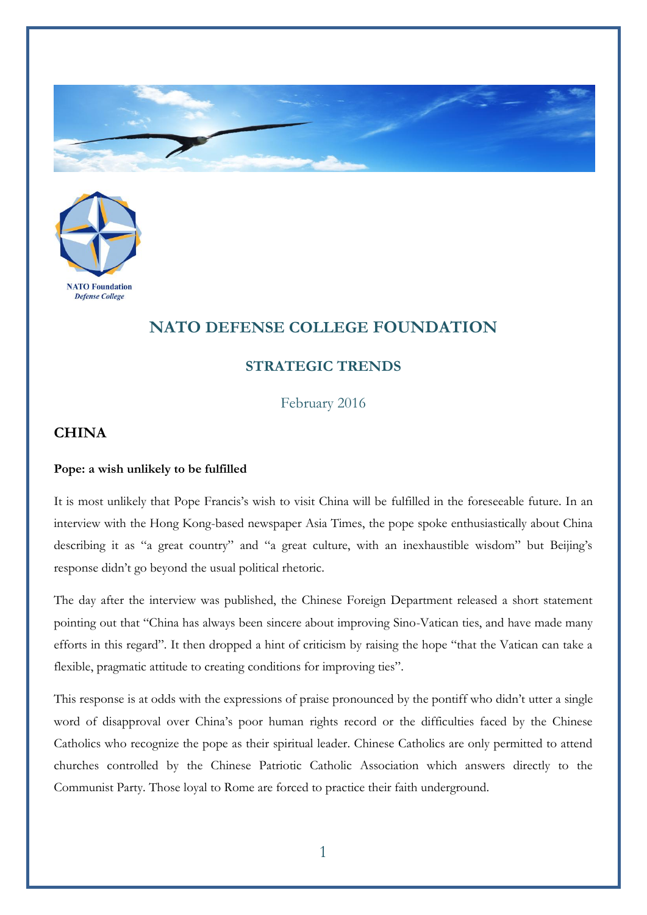



## **NATO DEFENSE COLLEGE FOUNDATION**

## **STRATEGIC TRENDS**

February 2016

## **CHINA**

## **Pope: a wish unlikely to be fulfilled**

It is most unlikely that Pope Francis's wish to visit China will be fulfilled in the foreseeable future. In an interview with the Hong Kong-based newspaper Asia Times, the pope spoke enthusiastically about China describing it as "a great country" and "a great culture, with an inexhaustible wisdom" but Beijing's response didn't go beyond the usual political rhetoric.

The day after the interview was published, the Chinese Foreign Department released a short statement pointing out that "China has always been sincere about improving Sino-Vatican ties, and have made many efforts in this regard". It then dropped a hint of criticism by raising the hope "that the Vatican can take a flexible, pragmatic attitude to creating conditions for improving ties".

This response is at odds with the expressions of praise pronounced by the pontiff who didn't utter a single word of disapproval over China's poor human rights record or the difficulties faced by the Chinese Catholics who recognize the pope as their spiritual leader. Chinese Catholics are only permitted to attend churches controlled by the Chinese Patriotic Catholic Association which answers directly to the Communist Party. Those loyal to Rome are forced to practice their faith underground.